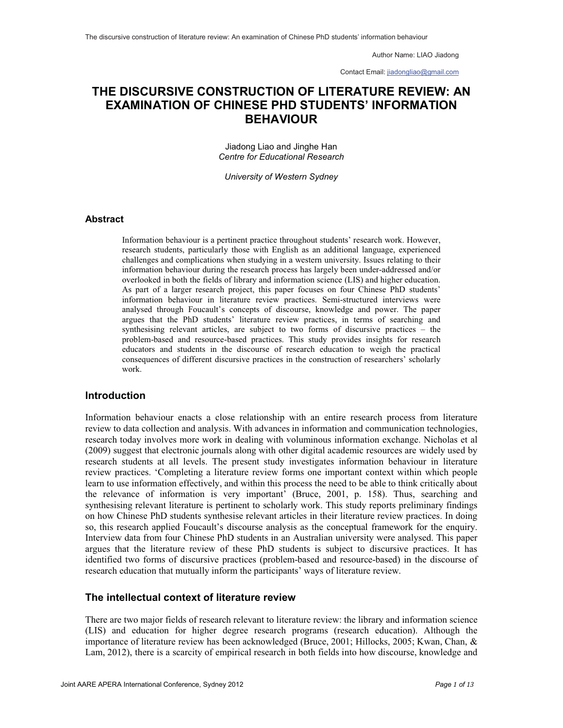Contact Email: jiadongliao@gmail.com

## **THE DISCURSIVE CONSTRUCTION OF LITERATURE REVIEW: AN EXAMINATION OF CHINESE PHD STUDENTS' INFORMATION BEHAVIOUR**

Jiadong Liao and Jinghe Han *Centre for Educational Research*

*University of Western Sydney*

#### **Abstract**

Information behaviour is a pertinent practice throughout students' research work. However, research students, particularly those with English as an additional language, experienced challenges and complications when studying in a western university. Issues relating to their information behaviour during the research process has largely been under-addressed and/or overlooked in both the fields of library and information science (LIS) and higher education. As part of a larger research project, this paper focuses on four Chinese PhD students' information behaviour in literature review practices. Semi-structured interviews were analysed through Foucault's concepts of discourse, knowledge and power. The paper argues that the PhD students' literature review practices, in terms of searching and synthesising relevant articles, are subject to two forms of discursive practices – the problem-based and resource-based practices. This study provides insights for research educators and students in the discourse of research education to weigh the practical consequences of different discursive practices in the construction of researchers' scholarly work.

#### **Introduction**

Information behaviour enacts a close relationship with an entire research process from literature review to data collection and analysis. With advances in information and communication technologies, research today involves more work in dealing with voluminous information exchange. Nicholas et al (2009) suggest that electronic journals along with other digital academic resources are widely used by research students at all levels. The present study investigates information behaviour in literature review practices. 'Completing a literature review forms one important context within which people learn to use information effectively, and within this process the need to be able to think critically about the relevance of information is very important' (Bruce, 2001, p. 158). Thus, searching and synthesising relevant literature is pertinent to scholarly work. This study reports preliminary findings on how Chinese PhD students synthesise relevant articles in their literature review practices. In doing so, this research applied Foucault's discourse analysis as the conceptual framework for the enquiry. Interview data from four Chinese PhD students in an Australian university were analysed. This paper argues that the literature review of these PhD students is subject to discursive practices. It has identified two forms of discursive practices (problem-based and resource-based) in the discourse of research education that mutually inform the participants' ways of literature review.

#### **The intellectual context of literature review**

There are two major fields of research relevant to literature review: the library and information science (LIS) and education for higher degree research programs (research education). Although the importance of literature review has been acknowledged (Bruce, 2001; Hillocks, 2005; Kwan, Chan, & Lam, 2012), there is a scarcity of empirical research in both fields into how discourse, knowledge and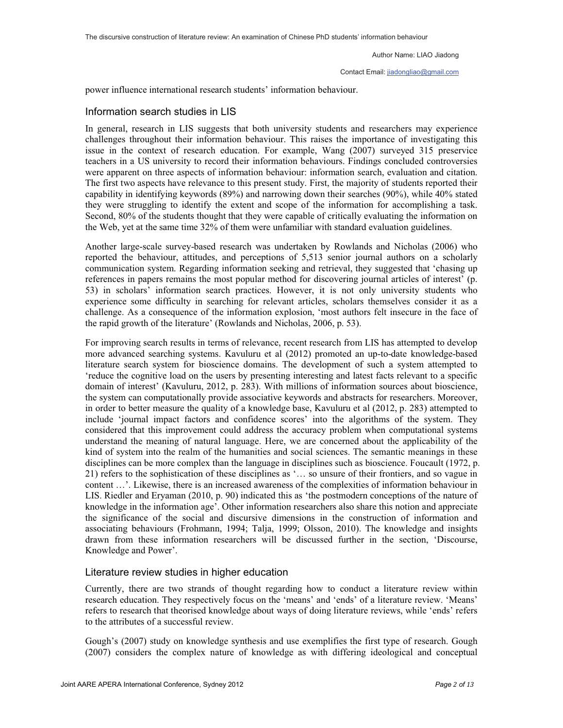Contact Email: jiadongliao@gmail.com

power influence international research students' information behaviour.

#### Information search studies in LIS

In general, research in LIS suggests that both university students and researchers may experience challenges throughout their information behaviour. This raises the importance of investigating this issue in the context of research education. For example, Wang (2007) surveyed 315 preservice teachers in a US university to record their information behaviours. Findings concluded controversies were apparent on three aspects of information behaviour: information search, evaluation and citation. The first two aspects have relevance to this present study. First, the majority of students reported their capability in identifying keywords (89%) and narrowing down their searches (90%), while 40% stated they were struggling to identify the extent and scope of the information for accomplishing a task. Second, 80% of the students thought that they were capable of critically evaluating the information on the Web, yet at the same time 32% of them were unfamiliar with standard evaluation guidelines.

Another large-scale survey-based research was undertaken by Rowlands and Nicholas (2006) who reported the behaviour, attitudes, and perceptions of 5,513 senior journal authors on a scholarly communication system. Regarding information seeking and retrieval, they suggested that 'chasing up references in papers remains the most popular method for discovering journal articles of interest' (p. 53) in scholars' information search practices. However, it is not only university students who experience some difficulty in searching for relevant articles, scholars themselves consider it as a challenge. As a consequence of the information explosion, 'most authors felt insecure in the face of the rapid growth of the literature' (Rowlands and Nicholas, 2006, p. 53).

For improving search results in terms of relevance, recent research from LIS has attempted to develop more advanced searching systems. Kavuluru et al (2012) promoted an up-to-date knowledge-based literature search system for bioscience domains. The development of such a system attempted to 'reduce the cognitive load on the users by presenting interesting and latest facts relevant to a specific domain of interest' (Kavuluru, 2012, p. 283). With millions of information sources about bioscience, the system can computationally provide associative keywords and abstracts for researchers. Moreover, in order to better measure the quality of a knowledge base, Kavuluru et al (2012, p. 283) attempted to include 'journal impact factors and confidence scores' into the algorithms of the system. They considered that this improvement could address the accuracy problem when computational systems understand the meaning of natural language. Here, we are concerned about the applicability of the kind of system into the realm of the humanities and social sciences. The semantic meanings in these disciplines can be more complex than the language in disciplines such as bioscience. Foucault (1972, p. 21) refers to the sophistication of these disciplines as '… so unsure of their frontiers, and so vague in content …'. Likewise, there is an increased awareness of the complexities of information behaviour in LIS. Riedler and Eryaman (2010, p. 90) indicated this as 'the postmodern conceptions of the nature of knowledge in the information age'. Other information researchers also share this notion and appreciate the significance of the social and discursive dimensions in the construction of information and associating behaviours (Frohmann, 1994; Talja, 1999; Olsson, 2010). The knowledge and insights drawn from these information researchers will be discussed further in the section, 'Discourse, Knowledge and Power'.

#### Literature review studies in higher education

Currently, there are two strands of thought regarding how to conduct a literature review within research education. They respectively focus on the 'means' and 'ends' of a literature review. 'Means' refers to research that theorised knowledge about ways of doing literature reviews, while 'ends' refers to the attributes of a successful review.

Gough's (2007) study on knowledge synthesis and use exemplifies the first type of research. Gough (2007) considers the complex nature of knowledge as with differing ideological and conceptual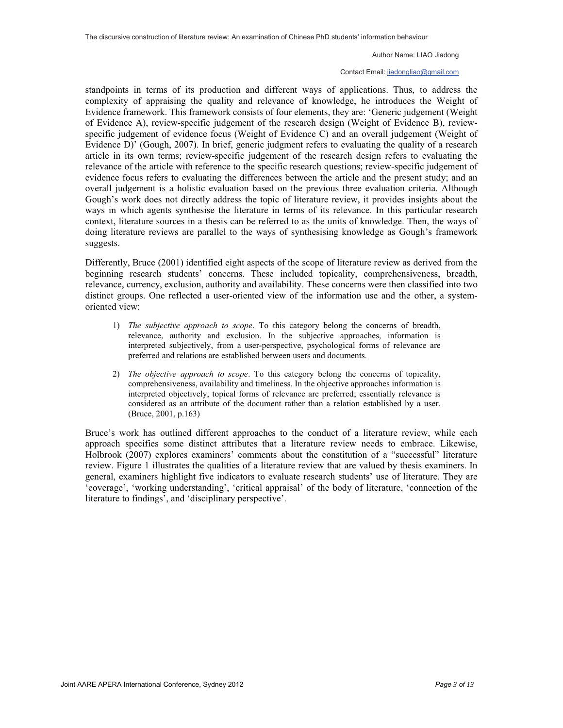#### Contact Email: jiadongliao@gmail.com

standpoints in terms of its production and different ways of applications. Thus, to address the complexity of appraising the quality and relevance of knowledge, he introduces the Weight of Evidence framework. This framework consists of four elements, they are: 'Generic judgement (Weight of Evidence A), review-specific judgement of the research design (Weight of Evidence B), reviewspecific judgement of evidence focus (Weight of Evidence C) and an overall judgement (Weight of Evidence D)' (Gough, 2007). In brief, generic judgment refers to evaluating the quality of a research article in its own terms; review-specific judgement of the research design refers to evaluating the relevance of the article with reference to the specific research questions; review-specific judgement of evidence focus refers to evaluating the differences between the article and the present study; and an overall judgement is a holistic evaluation based on the previous three evaluation criteria. Although Gough's work does not directly address the topic of literature review, it provides insights about the ways in which agents synthesise the literature in terms of its relevance. In this particular research context, literature sources in a thesis can be referred to as the units of knowledge. Then, the ways of doing literature reviews are parallel to the ways of synthesising knowledge as Gough's framework suggests.

Differently, Bruce (2001) identified eight aspects of the scope of literature review as derived from the beginning research students' concerns. These included topicality, comprehensiveness, breadth, relevance, currency, exclusion, authority and availability. These concerns were then classified into two distinct groups. One reflected a user-oriented view of the information use and the other, a systemoriented view:

- 1) *The subjective approach to scope*. To this category belong the concerns of breadth, relevance, authority and exclusion. In the subjective approaches, information is interpreted subjectively, from a user-perspective, psychological forms of relevance are preferred and relations are established between users and documents.
- 2) *The objective approach to scope*. To this category belong the concerns of topicality, comprehensiveness, availability and timeliness. In the objective approaches information is interpreted objectively, topical forms of relevance are preferred; essentially relevance is considered as an attribute of the document rather than a relation established by a user. (Bruce, 2001, p.163)

Bruce's work has outlined different approaches to the conduct of a literature review, while each approach specifies some distinct attributes that a literature review needs to embrace. Likewise, Holbrook (2007) explores examiners' comments about the constitution of a "successful" literature review. Figure 1 illustrates the qualities of a literature review that are valued by thesis examiners. In general, examiners highlight five indicators to evaluate research students' use of literature. They are 'coverage', 'working understanding', 'critical appraisal' of the body of literature, 'connection of the literature to findings', and 'disciplinary perspective'.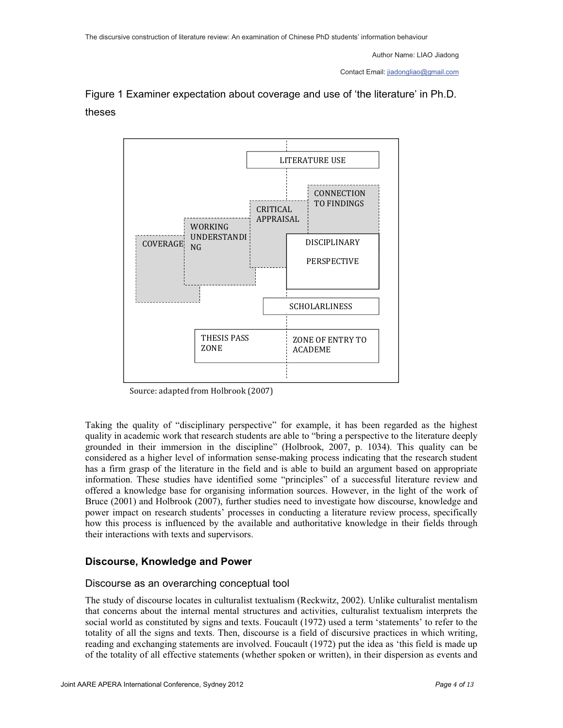Contact Email: jiadongliao@gmail.com

# Figure 1 Examiner expectation about coverage and use of 'the literature' in Ph.D. theses



Source: adapted from Holbrook (2007)

Taking the quality of "disciplinary perspective" for example, it has been regarded as the highest quality in academic work that research students are able to "bring a perspective to the literature deeply grounded in their immersion in the discipline" (Holbrook, 2007, p. 1034). This quality can be considered as a higher level of information sense-making process indicating that the research student has a firm grasp of the literature in the field and is able to build an argument based on appropriate information. These studies have identified some "principles" of a successful literature review and offered a knowledge base for organising information sources. However, in the light of the work of Bruce (2001) and Holbrook (2007), further studies need to investigate how discourse, knowledge and power impact on research students' processes in conducting a literature review process, specifically how this process is influenced by the available and authoritative knowledge in their fields through their interactions with texts and supervisors.

### **Discourse, Knowledge and Power**

### Discourse as an overarching conceptual tool

The study of discourse locates in culturalist textualism (Reckwitz, 2002). Unlike culturalist mentalism that concerns about the internal mental structures and activities, culturalist textualism interprets the social world as constituted by signs and texts. Foucault (1972) used a term 'statements' to refer to the totality of all the signs and texts. Then, discourse is a field of discursive practices in which writing, reading and exchanging statements are involved. Foucault (1972) put the idea as 'this field is made up of the totality of all effective statements (whether spoken or written), in their dispersion as events and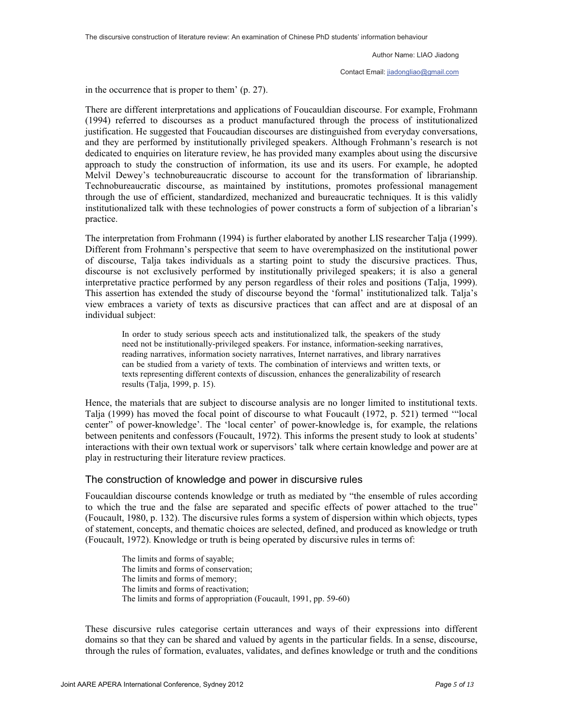Contact Email: jiadongliao@gmail.com

in the occurrence that is proper to them' (p. 27).

There are different interpretations and applications of Foucauldian discourse. For example, Frohmann (1994) referred to discourses as a product manufactured through the process of institutionalized justification. He suggested that Foucaudian discourses are distinguished from everyday conversations, and they are performed by institutionally privileged speakers. Although Frohmann's research is not dedicated to enquiries on literature review, he has provided many examples about using the discursive approach to study the construction of information, its use and its users. For example, he adopted Melvil Dewey's technobureaucratic discourse to account for the transformation of librarianship. Technobureaucratic discourse, as maintained by institutions, promotes professional management through the use of efficient, standardized, mechanized and bureaucratic techniques. It is this validly institutionalized talk with these technologies of power constructs a form of subjection of a librarian's practice.

The interpretation from Frohmann (1994) is further elaborated by another LIS researcher Talja (1999). Different from Frohmann's perspective that seem to have overemphasized on the institutional power of discourse, Talja takes individuals as a starting point to study the discursive practices. Thus, discourse is not exclusively performed by institutionally privileged speakers; it is also a general interpretative practice performed by any person regardless of their roles and positions (Talja, 1999). This assertion has extended the study of discourse beyond the 'formal' institutionalized talk. Talja's view embraces a variety of texts as discursive practices that can affect and are at disposal of an individual subject:

In order to study serious speech acts and institutionalized talk, the speakers of the study need not be institutionally-privileged speakers. For instance, information-seeking narratives, reading narratives, information society narratives, Internet narratives, and library narratives can be studied from a variety of texts. The combination of interviews and written texts, or texts representing different contexts of discussion, enhances the generalizability of research results (Talja, 1999, p. 15).

Hence, the materials that are subject to discourse analysis are no longer limited to institutional texts. Talja (1999) has moved the focal point of discourse to what Foucault (1972, p. 521) termed '"local center" of power-knowledge'. The 'local center' of power-knowledge is, for example, the relations between penitents and confessors (Foucault, 1972). This informs the present study to look at students' interactions with their own textual work or supervisors' talk where certain knowledge and power are at play in restructuring their literature review practices.

#### The construction of knowledge and power in discursive rules

Foucauldian discourse contends knowledge or truth as mediated by "the ensemble of rules according to which the true and the false are separated and specific effects of power attached to the true" (Foucault, 1980, p. 132). The discursive rules forms a system of dispersion within which objects, types of statement, concepts, and thematic choices are selected, defined, and produced as knowledge or truth (Foucault, 1972). Knowledge or truth is being operated by discursive rules in terms of:

The limits and forms of sayable; The limits and forms of conservation; The limits and forms of memory; The limits and forms of reactivation; The limits and forms of appropriation (Foucault, 1991, pp. 59-60)

These discursive rules categorise certain utterances and ways of their expressions into different domains so that they can be shared and valued by agents in the particular fields. In a sense, discourse, through the rules of formation, evaluates, validates, and defines knowledge or truth and the conditions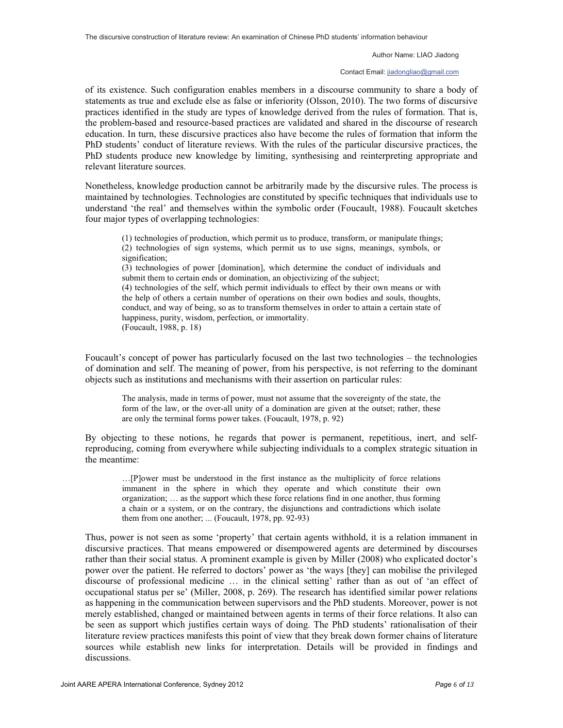#### Contact Email: jiadongliao@gmail.com

of its existence. Such configuration enables members in a discourse community to share a body of statements as true and exclude else as false or inferiority (Olsson, 2010). The two forms of discursive practices identified in the study are types of knowledge derived from the rules of formation. That is, the problem-based and resource-based practices are validated and shared in the discourse of research education. In turn, these discursive practices also have become the rules of formation that inform the PhD students' conduct of literature reviews. With the rules of the particular discursive practices, the PhD students produce new knowledge by limiting, synthesising and reinterpreting appropriate and relevant literature sources.

Nonetheless, knowledge production cannot be arbitrarily made by the discursive rules. The process is maintained by technologies. Technologies are constituted by specific techniques that individuals use to understand 'the real' and themselves within the symbolic order (Foucault, 1988). Foucault sketches four major types of overlapping technologies:

(1) technologies of production, which permit us to produce, transform, or manipulate things; (2) technologies of sign systems, which permit us to use signs, meanings, symbols, or signification;

(3) technologies of power [domination], which determine the conduct of individuals and submit them to certain ends or domination, an objectivizing of the subject;

(4) technologies of the self, which permit individuals to effect by their own means or with the help of others a certain number of operations on their own bodies and souls, thoughts, conduct, and way of being, so as to transform themselves in order to attain a certain state of happiness, purity, wisdom, perfection, or immortality. (Foucault, 1988, p. 18)

Foucault's concept of power has particularly focused on the last two technologies – the technologies of domination and self. The meaning of power, from his perspective, is not referring to the dominant objects such as institutions and mechanisms with their assertion on particular rules:

The analysis, made in terms of power, must not assume that the sovereignty of the state, the form of the law, or the over-all unity of a domination are given at the outset; rather, these are only the terminal forms power takes. (Foucault, 1978, p. 92)

By objecting to these notions, he regards that power is permanent, repetitious, inert, and selfreproducing, coming from everywhere while subjecting individuals to a complex strategic situation in the meantime:

…[P]ower must be understood in the first instance as the multiplicity of force relations immanent in the sphere in which they operate and which constitute their own organization; … as the support which these force relations find in one another, thus forming a chain or a system, or on the contrary, the disjunctions and contradictions which isolate them from one another; ... (Foucault, 1978, pp. 92-93)

Thus, power is not seen as some 'property' that certain agents withhold, it is a relation immanent in discursive practices. That means empowered or disempowered agents are determined by discourses rather than their social status. A prominent example is given by Miller (2008) who explicated doctor's power over the patient. He referred to doctors' power as 'the ways [they] can mobilise the privileged discourse of professional medicine … in the clinical setting' rather than as out of 'an effect of occupational status per se' (Miller, 2008, p. 269). The research has identified similar power relations as happening in the communication between supervisors and the PhD students. Moreover, power is not merely established, changed or maintained between agents in terms of their force relations. It also can be seen as support which justifies certain ways of doing. The PhD students' rationalisation of their literature review practices manifests this point of view that they break down former chains of literature sources while establish new links for interpretation. Details will be provided in findings and discussions.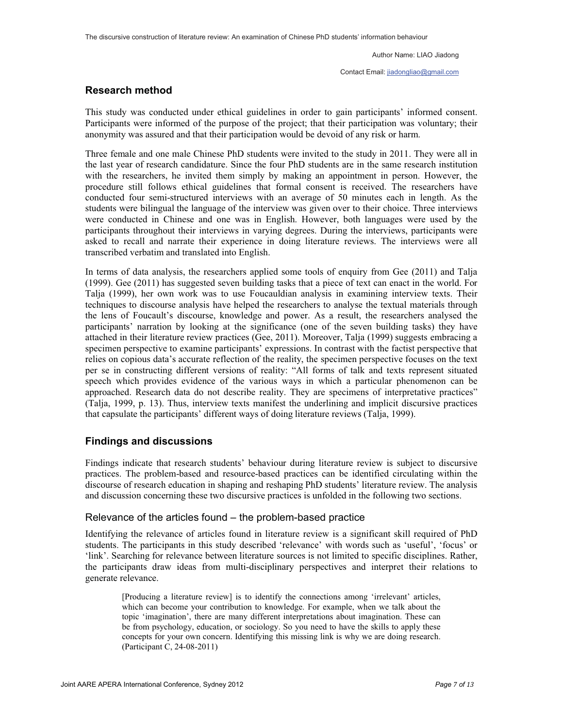Contact Email: jiadongliao@gmail.com

### **Research method**

This study was conducted under ethical guidelines in order to gain participants' informed consent. Participants were informed of the purpose of the project; that their participation was voluntary; their anonymity was assured and that their participation would be devoid of any risk or harm.

Three female and one male Chinese PhD students were invited to the study in 2011. They were all in the last year of research candidature. Since the four PhD students are in the same research institution with the researchers, he invited them simply by making an appointment in person. However, the procedure still follows ethical guidelines that formal consent is received. The researchers have conducted four semi-structured interviews with an average of 50 minutes each in length. As the students were bilingual the language of the interview was given over to their choice. Three interviews were conducted in Chinese and one was in English. However, both languages were used by the participants throughout their interviews in varying degrees. During the interviews, participants were asked to recall and narrate their experience in doing literature reviews. The interviews were all transcribed verbatim and translated into English.

In terms of data analysis, the researchers applied some tools of enquiry from Gee (2011) and Talja (1999). Gee (2011) has suggested seven building tasks that a piece of text can enact in the world. For Talja (1999), her own work was to use Foucauldian analysis in examining interview texts. Their techniques to discourse analysis have helped the researchers to analyse the textual materials through the lens of Foucault's discourse, knowledge and power. As a result, the researchers analysed the participants' narration by looking at the significance (one of the seven building tasks) they have attached in their literature review practices (Gee, 2011). Moreover, Talja (1999) suggests embracing a specimen perspective to examine participants' expressions. In contrast with the factist perspective that relies on copious data's accurate reflection of the reality, the specimen perspective focuses on the text per se in constructing different versions of reality: "All forms of talk and texts represent situated speech which provides evidence of the various ways in which a particular phenomenon can be approached. Research data do not describe reality. They are specimens of interpretative practices" (Talja, 1999, p. 13). Thus, interview texts manifest the underlining and implicit discursive practices that capsulate the participants' different ways of doing literature reviews (Talja, 1999).

### **Findings and discussions**

Findings indicate that research students' behaviour during literature review is subject to discursive practices. The problem-based and resource-based practices can be identified circulating within the discourse of research education in shaping and reshaping PhD students' literature review. The analysis and discussion concerning these two discursive practices is unfolded in the following two sections.

#### Relevance of the articles found – the problem-based practice

Identifying the relevance of articles found in literature review is a significant skill required of PhD students. The participants in this study described 'relevance' with words such as 'useful', 'focus' or 'link'. Searching for relevance between literature sources is not limited to specific disciplines. Rather, the participants draw ideas from multi-disciplinary perspectives and interpret their relations to generate relevance.

[Producing a literature review] is to identify the connections among 'irrelevant' articles, which can become your contribution to knowledge. For example, when we talk about the topic 'imagination', there are many different interpretations about imagination. These can be from psychology, education, or sociology. So you need to have the skills to apply these concepts for your own concern. Identifying this missing link is why we are doing research. (Participant C, 24-08-2011)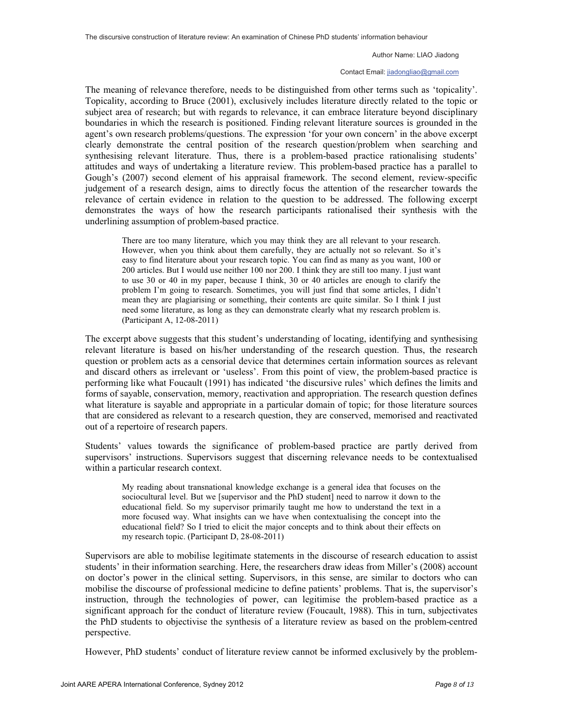#### Contact Email: jiadongliao@gmail.com

The meaning of relevance therefore, needs to be distinguished from other terms such as 'topicality'. Topicality, according to Bruce (2001), exclusively includes literature directly related to the topic or subject area of research; but with regards to relevance, it can embrace literature beyond disciplinary boundaries in which the research is positioned. Finding relevant literature sources is grounded in the agent's own research problems/questions. The expression 'for your own concern' in the above excerpt clearly demonstrate the central position of the research question/problem when searching and synthesising relevant literature. Thus, there is a problem-based practice rationalising students' attitudes and ways of undertaking a literature review. This problem-based practice has a parallel to Gough's (2007) second element of his appraisal framework. The second element, review-specific judgement of a research design, aims to directly focus the attention of the researcher towards the relevance of certain evidence in relation to the question to be addressed. The following excerpt demonstrates the ways of how the research participants rationalised their synthesis with the underlining assumption of problem-based practice.

There are too many literature, which you may think they are all relevant to your research. However, when you think about them carefully, they are actually not so relevant. So it's easy to find literature about your research topic. You can find as many as you want, 100 or 200 articles. But I would use neither 100 nor 200. I think they are still too many. I just want to use 30 or 40 in my paper, because I think, 30 or 40 articles are enough to clarify the problem I'm going to research. Sometimes, you will just find that some articles, I didn't mean they are plagiarising or something, their contents are quite similar. So I think I just need some literature, as long as they can demonstrate clearly what my research problem is. (Participant A, 12-08-2011)

The excerpt above suggests that this student's understanding of locating, identifying and synthesising relevant literature is based on his/her understanding of the research question. Thus, the research question or problem acts as a censorial device that determines certain information sources as relevant and discard others as irrelevant or 'useless'. From this point of view, the problem-based practice is performing like what Foucault (1991) has indicated 'the discursive rules' which defines the limits and forms of sayable, conservation, memory, reactivation and appropriation. The research question defines what literature is sayable and appropriate in a particular domain of topic; for those literature sources that are considered as relevant to a research question, they are conserved, memorised and reactivated out of a repertoire of research papers.

Students' values towards the significance of problem-based practice are partly derived from supervisors' instructions. Supervisors suggest that discerning relevance needs to be contextualised within a particular research context.

My reading about transnational knowledge exchange is a general idea that focuses on the sociocultural level. But we [supervisor and the PhD student] need to narrow it down to the educational field. So my supervisor primarily taught me how to understand the text in a more focused way. What insights can we have when contextualising the concept into the educational field? So I tried to elicit the major concepts and to think about their effects on my research topic. (Participant D, 28-08-2011)

Supervisors are able to mobilise legitimate statements in the discourse of research education to assist students' in their information searching. Here, the researchers draw ideas from Miller's (2008) account on doctor's power in the clinical setting. Supervisors, in this sense, are similar to doctors who can mobilise the discourse of professional medicine to define patients' problems. That is, the supervisor's instruction, through the technologies of power, can legitimise the problem-based practice as a significant approach for the conduct of literature review (Foucault, 1988). This in turn, subjectivates the PhD students to objectivise the synthesis of a literature review as based on the problem-centred perspective.

However, PhD students' conduct of literature review cannot be informed exclusively by the problem-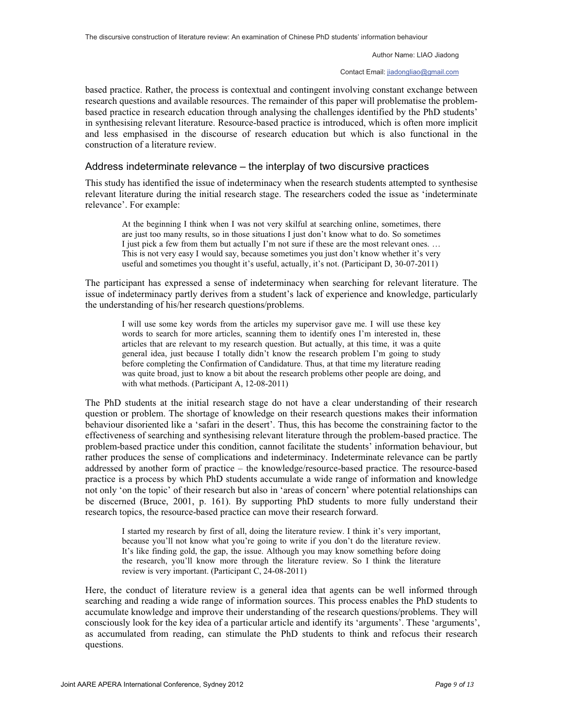Contact Email: jiadongliao@gmail.com

based practice. Rather, the process is contextual and contingent involving constant exchange between research questions and available resources. The remainder of this paper will problematise the problembased practice in research education through analysing the challenges identified by the PhD students' in synthesising relevant literature. Resource-based practice is introduced, which is often more implicit and less emphasised in the discourse of research education but which is also functional in the construction of a literature review.

#### Address indeterminate relevance – the interplay of two discursive practices

This study has identified the issue of indeterminacy when the research students attempted to synthesise relevant literature during the initial research stage. The researchers coded the issue as 'indeterminate relevance'. For example:

At the beginning I think when I was not very skilful at searching online, sometimes, there are just too many results, so in those situations I just don't know what to do. So sometimes I just pick a few from them but actually I'm not sure if these are the most relevant ones. … This is not very easy I would say, because sometimes you just don't know whether it's very useful and sometimes you thought it's useful, actually, it's not. (Participant D, 30-07-2011)

The participant has expressed a sense of indeterminacy when searching for relevant literature. The issue of indeterminacy partly derives from a student's lack of experience and knowledge, particularly the understanding of his/her research questions/problems.

I will use some key words from the articles my supervisor gave me. I will use these key words to search for more articles, scanning them to identify ones I'm interested in, these articles that are relevant to my research question. But actually, at this time, it was a quite general idea, just because I totally didn't know the research problem I'm going to study before completing the Confirmation of Candidature. Thus, at that time my literature reading was quite broad, just to know a bit about the research problems other people are doing, and with what methods. (Participant A, 12-08-2011)

The PhD students at the initial research stage do not have a clear understanding of their research question or problem. The shortage of knowledge on their research questions makes their information behaviour disoriented like a 'safari in the desert'. Thus, this has become the constraining factor to the effectiveness of searching and synthesising relevant literature through the problem-based practice. The problem-based practice under this condition, cannot facilitate the students' information behaviour, but rather produces the sense of complications and indeterminacy. Indeterminate relevance can be partly addressed by another form of practice – the knowledge/resource-based practice. The resource-based practice is a process by which PhD students accumulate a wide range of information and knowledge not only 'on the topic' of their research but also in 'areas of concern' where potential relationships can be discerned (Bruce, 2001, p. 161). By supporting PhD students to more fully understand their research topics, the resource-based practice can move their research forward.

I started my research by first of all, doing the literature review. I think it's very important, because you'll not know what you're going to write if you don't do the literature review. It's like finding gold, the gap, the issue. Although you may know something before doing the research, you'll know more through the literature review. So I think the literature review is very important. (Participant C, 24-08-2011)

Here, the conduct of literature review is a general idea that agents can be well informed through searching and reading a wide range of information sources. This process enables the PhD students to accumulate knowledge and improve their understanding of the research questions/problems. They will consciously look for the key idea of a particular article and identify its 'arguments'. These 'arguments', as accumulated from reading, can stimulate the PhD students to think and refocus their research questions.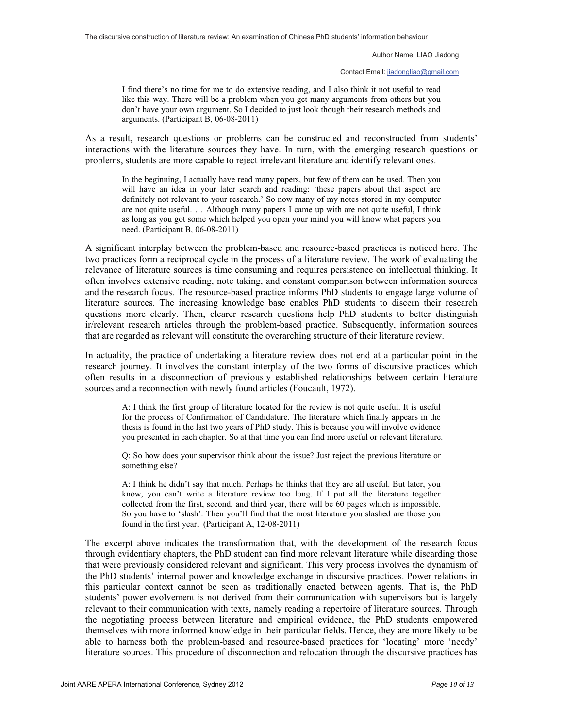Contact Email: jiadongliao@gmail.com

I find there's no time for me to do extensive reading, and I also think it not useful to read like this way. There will be a problem when you get many arguments from others but you don't have your own argument. So I decided to just look though their research methods and arguments. (Participant B, 06-08-2011)

As a result, research questions or problems can be constructed and reconstructed from students' interactions with the literature sources they have. In turn, with the emerging research questions or problems, students are more capable to reject irrelevant literature and identify relevant ones.

In the beginning, I actually have read many papers, but few of them can be used. Then you will have an idea in your later search and reading: 'these papers about that aspect are definitely not relevant to your research.' So now many of my notes stored in my computer are not quite useful. … Although many papers I came up with are not quite useful, I think as long as you got some which helped you open your mind you will know what papers you need. (Participant B, 06-08-2011)

A significant interplay between the problem-based and resource-based practices is noticed here. The two practices form a reciprocal cycle in the process of a literature review. The work of evaluating the relevance of literature sources is time consuming and requires persistence on intellectual thinking. It often involves extensive reading, note taking, and constant comparison between information sources and the research focus. The resource-based practice informs PhD students to engage large volume of literature sources. The increasing knowledge base enables PhD students to discern their research questions more clearly. Then, clearer research questions help PhD students to better distinguish ir/relevant research articles through the problem-based practice. Subsequently, information sources that are regarded as relevant will constitute the overarching structure of their literature review.

In actuality, the practice of undertaking a literature review does not end at a particular point in the research journey. It involves the constant interplay of the two forms of discursive practices which often results in a disconnection of previously established relationships between certain literature sources and a reconnection with newly found articles (Foucault, 1972).

A: I think the first group of literature located for the review is not quite useful. It is useful for the process of Confirmation of Candidature. The literature which finally appears in the thesis is found in the last two years of PhD study. This is because you will involve evidence you presented in each chapter. So at that time you can find more useful or relevant literature.

Q: So how does your supervisor think about the issue? Just reject the previous literature or something else?

A: I think he didn't say that much. Perhaps he thinks that they are all useful. But later, you know, you can't write a literature review too long. If I put all the literature together collected from the first, second, and third year, there will be 60 pages which is impossible. So you have to 'slash'. Then you'll find that the most literature you slashed are those you found in the first year. (Participant A, 12-08-2011)

The excerpt above indicates the transformation that, with the development of the research focus through evidentiary chapters, the PhD student can find more relevant literature while discarding those that were previously considered relevant and significant. This very process involves the dynamism of the PhD students' internal power and knowledge exchange in discursive practices. Power relations in this particular context cannot be seen as traditionally enacted between agents. That is, the PhD students' power evolvement is not derived from their communication with supervisors but is largely relevant to their communication with texts, namely reading a repertoire of literature sources. Through the negotiating process between literature and empirical evidence, the PhD students empowered themselves with more informed knowledge in their particular fields. Hence, they are more likely to be able to harness both the problem-based and resource-based practices for 'locating' more 'needy' literature sources. This procedure of disconnection and relocation through the discursive practices has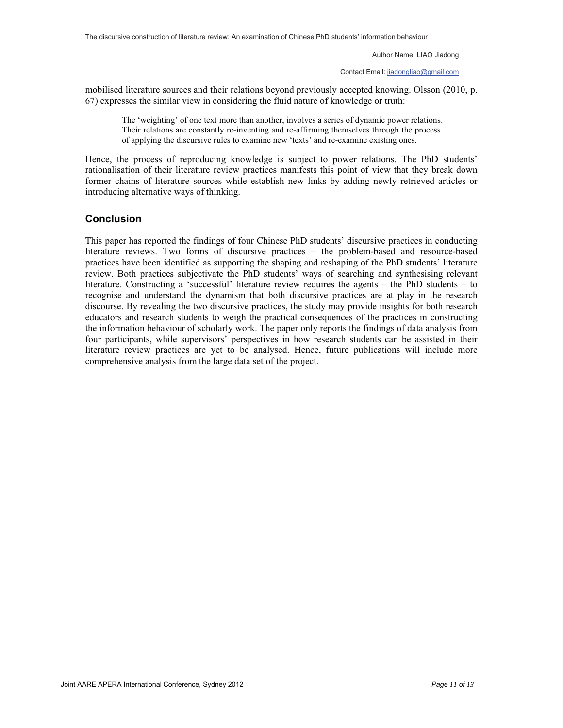Contact Email: jiadongliao@gmail.com

mobilised literature sources and their relations beyond previously accepted knowing. Olsson (2010, p. 67) expresses the similar view in considering the fluid nature of knowledge or truth:

The 'weighting' of one text more than another, involves a series of dynamic power relations. Their relations are constantly re-inventing and re-affirming themselves through the process of applying the discursive rules to examine new 'texts' and re-examine existing ones.

Hence, the process of reproducing knowledge is subject to power relations. The PhD students' rationalisation of their literature review practices manifests this point of view that they break down former chains of literature sources while establish new links by adding newly retrieved articles or introducing alternative ways of thinking.

### **Conclusion**

This paper has reported the findings of four Chinese PhD students' discursive practices in conducting literature reviews. Two forms of discursive practices – the problem-based and resource-based practices have been identified as supporting the shaping and reshaping of the PhD students' literature review. Both practices subjectivate the PhD students' ways of searching and synthesising relevant literature. Constructing a 'successful' literature review requires the agents – the PhD students – to recognise and understand the dynamism that both discursive practices are at play in the research discourse. By revealing the two discursive practices, the study may provide insights for both research educators and research students to weigh the practical consequences of the practices in constructing the information behaviour of scholarly work. The paper only reports the findings of data analysis from four participants, while supervisors' perspectives in how research students can be assisted in their literature review practices are yet to be analysed. Hence, future publications will include more comprehensive analysis from the large data set of the project.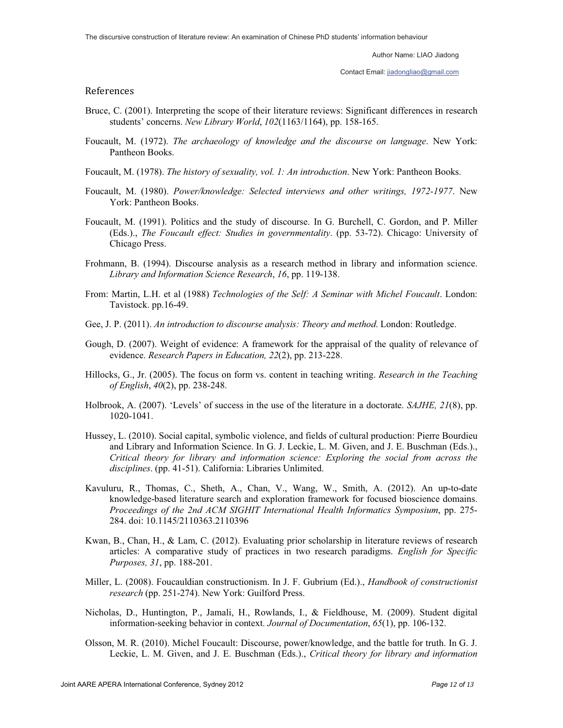Contact Email: jiadongliao@gmail.com

#### References

- Bruce, C. (2001). Interpreting the scope of their literature reviews: Significant differences in research students' concerns. *New Library World*, *102*(1163/1164), pp. 158-165.
- Foucault, M. (1972). *The archaeology of knowledge and the discourse on language*. New York: Pantheon Books.
- Foucault, M. (1978). *The history of sexuality, vol. 1: An introduction*. New York: Pantheon Books.
- Foucault, M. (1980). *Power/knowledge: Selected interviews and other writings, 1972-1977*. New York: Pantheon Books.
- Foucault, M. (1991). Politics and the study of discourse. In G. Burchell, C. Gordon, and P. Miller (Eds.)., *The Foucault effect: Studies in governmentality*. (pp. 53-72). Chicago: University of Chicago Press.
- Frohmann, B. (1994). Discourse analysis as a research method in library and information science. *Library and Information Science Research*, *16*, pp. 119-138.
- From: Martin, L.H. et al (1988) *Technologies of the Self: A Seminar with Michel Foucault*. London: Tavistock. pp.16-49.
- Gee, J. P. (2011). *An introduction to discourse analysis: Theory and method*. London: Routledge.
- Gough, D. (2007). Weight of evidence: A framework for the appraisal of the quality of relevance of evidence. *Research Papers in Education, 22*(2), pp. 213-228.
- Hillocks, G., Jr. (2005). The focus on form vs. content in teaching writing. *Research in the Teaching of English*, *40*(2), pp. 238-248.
- Holbrook, A. (2007). 'Levels' of success in the use of the literature in a doctorate. *SAJHE, 21*(8), pp. 1020-1041.
- Hussey, L. (2010). Social capital, symbolic violence, and fields of cultural production: Pierre Bourdieu and Library and Information Science. In G. J. Leckie, L. M. Given, and J. E. Buschman (Eds.)., *Critical theory for library and information science: Exploring the social from across the disciplines*. (pp. 41-51). California: Libraries Unlimited.
- Kavuluru, R., Thomas, C., Sheth, A., Chan, V., Wang, W., Smith, A. (2012). An up-to-date knowledge-based literature search and exploration framework for focused bioscience domains. *Proceedings of the 2nd ACM SIGHIT International Health Informatics Symposium*, pp. 275- 284. doi: 10.1145/2110363.2110396
- Kwan, B., Chan, H., & Lam, C. (2012). Evaluating prior scholarship in literature reviews of research articles: A comparative study of practices in two research paradigms. *English for Specific Purposes, 31*, pp. 188-201.
- Miller, L. (2008). Foucauldian constructionism. In J. F. Gubrium (Ed.)., *Handbook of constructionist research* (pp. 251-274). New York: Guilford Press.
- Nicholas, D., Huntington, P., Jamali, H., Rowlands, I., & Fieldhouse, M. (2009). Student digital information-seeking behavior in context. *Journal of Documentation*, *65*(1), pp. 106-132.
- Olsson, M. R. (2010). Michel Foucault: Discourse, power/knowledge, and the battle for truth. In G. J. Leckie, L. M. Given, and J. E. Buschman (Eds.)., *Critical theory for library and information*